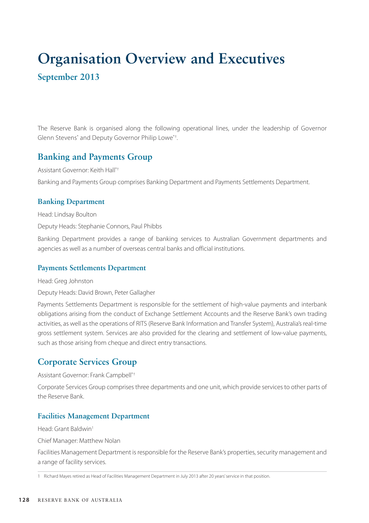# **Organisation Overview and Executives September 2013**

The Reserve Bank is organised along the following operational lines, under the leadership of Governor Glenn Stevens\* and Deputy Governor Philip Lowe\*† .

# **Banking and Payments Group**

Assistant Governor: Keith Hall\*† Banking and Payments Group comprises Banking Department and Payments Settlements Department.

## **Banking Department**

Head: Lindsay Boulton

Deputy Heads: Stephanie Connors, Paul Phibbs

Banking Department provides a range of banking services to Australian Government departments and agencies as well as a number of overseas central banks and official institutions.

## **Payments Settlements Department**

Head: Greg Johnston

Deputy Heads: David Brown, Peter Gallagher

Payments Settlements Department is responsible for the settlement of high-value payments and interbank obligations arising from the conduct of Exchange Settlement Accounts and the Reserve Bank's own trading activities, as well as the operations of RITS (Reserve Bank Information and Transfer System), Australia's real-time gross settlement system. Services are also provided for the clearing and settlement of low-value payments, such as those arising from cheque and direct entry transactions.

# **Corporate Services Group**

Assistant Governor: Frank Campbell\*†

Corporate Services Group comprises three departments and one unit, which provide services to other parts of the Reserve Bank.

## **Facilities Management Department**

Head: Grant Baldwin<sup>1</sup>

Chief Manager: Matthew Nolan

Facilities Management Department is responsible for the Reserve Bank's properties, security management and a range of facility services.

<sup>1</sup> Richard Mayes retired as Head of Facilities Management Department in July 2013 after 20 years' service in that position.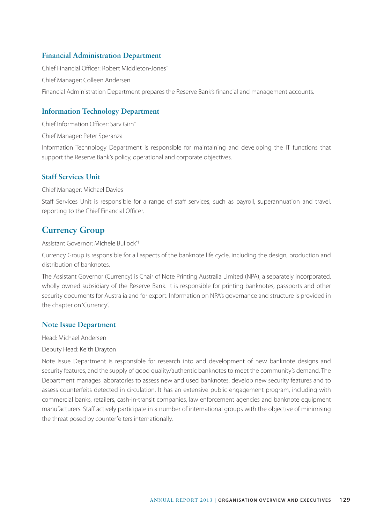# **Financial Administration Department**

Chief Financial Officer: Robert Middleton-Jones† Chief Manager: Colleen Andersen Financial Administration Department prepares the Reserve Bank's financial and management accounts.

# **Information Technology Department**

Chief Information Officer: Sarv Girn†

Chief Manager: Peter Speranza

Information Technology Department is responsible for maintaining and developing the IT functions that support the Reserve Bank's policy, operational and corporate objectives.

## **Staff Services Unit**

Chief Manager: Michael Davies

Staff Services Unit is responsible for a range of staff services, such as payroll, superannuation and travel, reporting to the Chief Financial Officer.

# **Currency Group**

Assistant Governor: Michele Bullock\*†

Currency Group is responsible for all aspects of the banknote life cycle, including the design, production and distribution of banknotes.

The Assistant Governor (Currency) is Chair of Note Printing Australia Limited (NPA), a separately incorporated, wholly owned subsidiary of the Reserve Bank. It is responsible for printing banknotes, passports and other security documents for Australia and for export. Information on NPA's governance and structure is provided in the chapter on 'Currency'.

## **Note Issue Department**

Head: Michael Andersen

#### Deputy Head: Keith Drayton

Note Issue Department is responsible for research into and development of new banknote designs and security features, and the supply of good quality/authentic banknotes to meet the community's demand. The Department manages laboratories to assess new and used banknotes, develop new security features and to assess counterfeits detected in circulation. It has an extensive public engagement program, including with commercial banks, retailers, cash-in-transit companies, law enforcement agencies and banknote equipment manufacturers. Staff actively participate in a number of international groups with the objective of minimising the threat posed by counterfeiters internationally.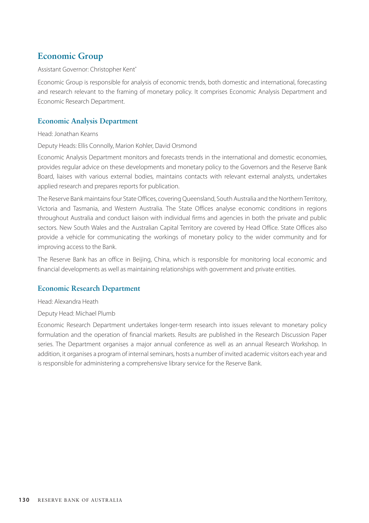# **Economic Group**

#### Assistant Governor: Christopher Kent\*

Economic Group is responsible for analysis of economic trends, both domestic and international, forecasting and research relevant to the framing of monetary policy. It comprises Economic Analysis Department and Economic Research Department.

# **Economic Analysis Department**

#### Head: Jonathan Kearns

Deputy Heads: Ellis Connolly, Marion Kohler, David Orsmond

Economic Analysis Department monitors and forecasts trends in the international and domestic economies, provides regular advice on these developments and monetary policy to the Governors and the Reserve Bank Board, liaises with various external bodies, maintains contacts with relevant external analysts, undertakes applied research and prepares reports for publication.

The Reserve Bank maintains four State Offices, covering Queensland, South Australia and the Northern Territory, Victoria and Tasmania, and Western Australia. The State Offices analyse economic conditions in regions throughout Australia and conduct liaison with individual firms and agencies in both the private and public sectors. New South Wales and the Australian Capital Territory are covered by Head Office. State Offices also provide a vehicle for communicating the workings of monetary policy to the wider community and for improving access to the Bank.

The Reserve Bank has an office in Beijing, China, which is responsible for monitoring local economic and financial developments as well as maintaining relationships with government and private entities.

## **Economic Research Department**

Head: Alexandra Heath

Deputy Head: Michael Plumb

Economic Research Department undertakes longer-term research into issues relevant to monetary policy formulation and the operation of financial markets. Results are published in the Research Discussion Paper series. The Department organises a major annual conference as well as an annual Research Workshop. In addition, it organises a program of internal seminars, hosts a number of invited academic visitors each year and is responsible for administering a comprehensive library service for the Reserve Bank.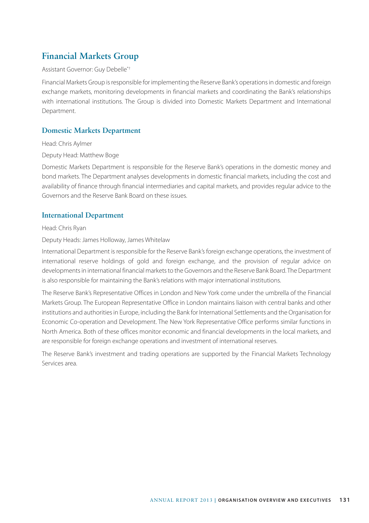# **Financial Markets Group**

#### Assistant Governor: Guy Debelle\*†

Financial Markets Group is responsible for implementing the Reserve Bank's operations in domestic and foreign exchange markets, monitoring developments in financial markets and coordinating the Bank's relationships with international institutions. The Group is divided into Domestic Markets Department and International Department.

## **Domestic Markets Department**

Head: Chris Aylmer

Deputy Head: Matthew Boge

Domestic Markets Department is responsible for the Reserve Bank's operations in the domestic money and bond markets. The Department analyses developments in domestic financial markets, including the cost and availability of finance through financial intermediaries and capital markets, and provides regular advice to the Governors and the Reserve Bank Board on these issues.

## **International Department**

Head: Chris Ryan

#### Deputy Heads: James Holloway, James Whitelaw

International Department is responsible for the Reserve Bank's foreign exchange operations, the investment of international reserve holdings of gold and foreign exchange, and the provision of regular advice on developments in international financial markets to the Governors and the Reserve Bank Board. The Department is also responsible for maintaining the Bank's relations with major international institutions.

The Reserve Bank's Representative Offices in London and New York come under the umbrella of the Financial Markets Group. The European Representative Office in London maintains liaison with central banks and other institutions and authorities in Europe, including the Bank for International Settlements and the Organisation for Economic Co-operation and Development. The New York Representative Office performs similar functions in North America. Both of these offices monitor economic and financial developments in the local markets, and are responsible for foreign exchange operations and investment of international reserves.

The Reserve Bank's investment and trading operations are supported by the Financial Markets Technology Services area.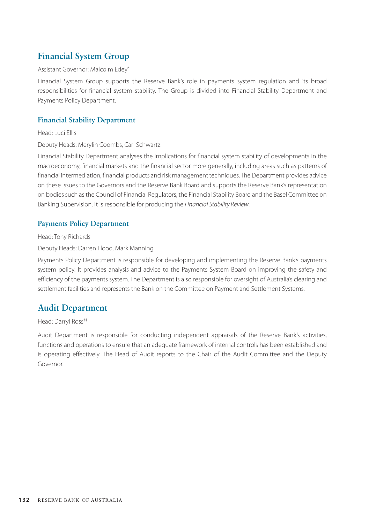# **Financial System Group**

#### Assistant Governor: Malcolm Edey\*

Financial System Group supports the Reserve Bank's role in payments system regulation and its broad responsibilities for financial system stability. The Group is divided into Financial Stability Department and Payments Policy Department.

# **Financial Stability Department**

Head: Luci Ellis

## Deputy Heads: Merylin Coombs, Carl Schwartz

Financial Stability Department analyses the implications for financial system stability of developments in the macroeconomy, financial markets and the financial sector more generally, including areas such as patterns of financial intermediation, financial products and risk management techniques. The Department provides advice on these issues to the Governors and the Reserve Bank Board and supports the Reserve Bank's representation on bodies such as the Council of Financial Regulators, the Financial Stability Board and the Basel Committee on Banking Supervision. It is responsible for producing the *Financial Stability Review*.

## **Payments Policy Department**

Head: Tony Richards

Deputy Heads: Darren Flood, Mark Manning

Payments Policy Department is responsible for developing and implementing the Reserve Bank's payments system policy. It provides analysis and advice to the Payments System Board on improving the safety and efficiency of the payments system. The Department is also responsible for oversight of Australia's clearing and settlement facilities and represents the Bank on the Committee on Payment and Settlement Systems.

# **Audit Department**

Head: Darryl Ross†‡

Audit Department is responsible for conducting independent appraisals of the Reserve Bank's activities, functions and operations to ensure that an adequate framework of internal controls has been established and is operating effectively. The Head of Audit reports to the Chair of the Audit Committee and the Deputy Governor.